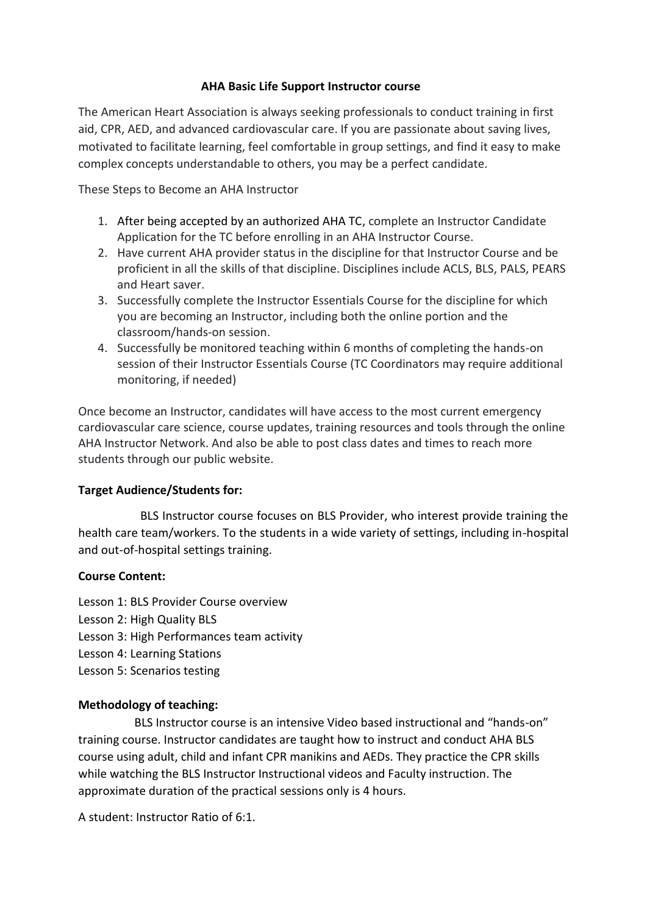#### **AHA Basic Life Support Instructor course**

The American Heart Association is always seeking professionals to conduct training in first aid, CPR, AED, and advanced cardiovascular care. If you are passionate about saving lives, motivated to facilitate learning, feel comfortable in group settings, and find it easy to make complex concepts understandable to others, you may be a perfect candidate.

These Steps to Become an AHA Instructor

- 1. [After being accepted by an authorized AHA TC,](https://ahainstructornetwork.americanheart.org/AHAECC/classConnector.jsp?pid=ahaecc.classconnector.home) complete an Instructor Candidate Application for the TC before enrolling in an AHA Instructor Course.
- 2. Have current AHA provider status in the discipline for that Instructor Course and be proficient in all the skills of that discipline. Disciplines include ACLS, BLS, PALS, PEARS and Heart saver.
- 3. Successfully complete the Instructor Essentials Course for the discipline for which you are becoming an Instructor, including both the online portion and the classroom/hands-on session.
- 4. Successfully be monitored teaching within 6 months of completing the hands-on session of their Instructor Essentials Course (TC Coordinators may require additional monitoring, if needed)

Once become an Instructor, candidates will have access to the most current emergency cardiovascular care science, course updates, training resources and tools through the online AHA Instructor Network. And also be able to post class dates and times to reach more students through our public website.

#### **Target Audience/Students for:**

 BLS Instructor course focuses on BLS Provider, who interest provide training the health care team/workers. To the students in a wide variety of settings, including in-hospital and out-of-hospital settings training.

#### **Course Content:**

Lesson 1: BLS Provider Course overview Lesson 2: High Quality BLS Lesson 3: High Performances team activity Lesson 4: Learning Stations Lesson 5: Scenarios testing

## **Methodology of teaching:**

 BLS Instructor course is an intensive Video based instructional and "hands-on" training course. Instructor candidates are taught how to instruct and conduct AHA BLS course using adult, child and infant CPR manikins and AEDs. They practice the CPR skills while watching the BLS Instructor Instructional videos and Faculty instruction. The approximate duration of the practical sessions only is 4 hours.

A student: Instructor Ratio of 6:1.